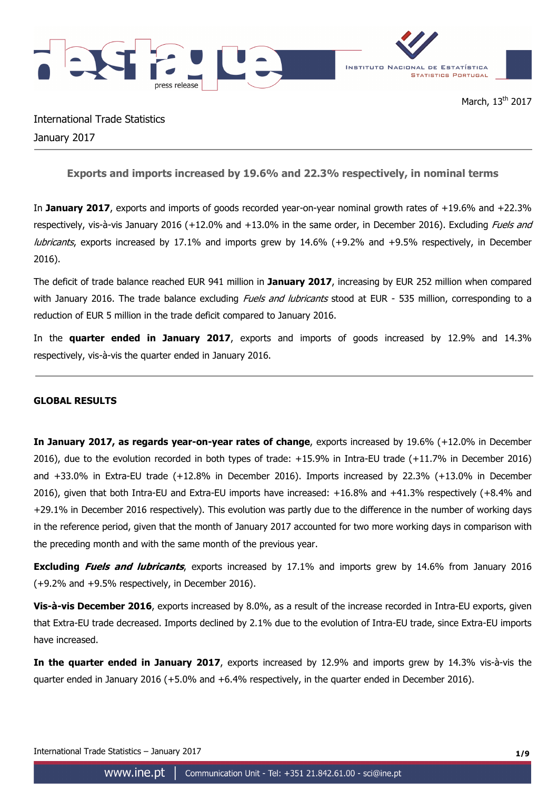

International Trade Statistics January 2017

**Exports and imports increased by 19.6% and 22.3% respectively, in nominal terms** 

In **January 2017**, exports and imports of goods recorded year-on-year nominal growth rates of +19.6% and +22.3% respectively, vis-à-vis January 2016 (+12.0% and +13.0% in the same order, in December 2016). Excluding *Fuels and* lubricants, exports increased by 17.1% and imports grew by 14.6% (+9.2% and +9.5% respectively, in December 2016).

The deficit of trade balance reached EUR 941 million in **January 2017**, increasing by EUR 252 million when compared with January 2016. The trade balance excluding *Fuels and lubricants* stood at EUR - 535 million, corresponding to a reduction of EUR 5 million in the trade deficit compared to January 2016.

In the **quarter ended in January 2017**, exports and imports of goods increased by 12.9% and 14.3% respectively, vis-à-vis the quarter ended in January 2016.

# **GLOBAL RESULTS**

**In January 2017, as regards year-on-year rates of change**, exports increased by 19.6% (+12.0% in December 2016), due to the evolution recorded in both types of trade: +15.9% in Intra-EU trade (+11.7% in December 2016) and +33.0% in Extra-EU trade (+12.8% in December 2016). Imports increased by 22.3% (+13.0% in December 2016), given that both Intra-EU and Extra-EU imports have increased: +16.8% and +41.3% respectively (+8.4% and +29.1% in December 2016 respectively). This evolution was partly due to the difference in the number of working days in the reference period, given that the month of January 2017 accounted for two more working days in comparison with the preceding month and with the same month of the previous year.

**Excluding Fuels and lubricants**, exports increased by 17.1% and imports grew by 14.6% from January 2016 (+9.2% and +9.5% respectively, in December 2016).

**Vis-à-vis December 2016**, exports increased by 8.0%, as a result of the increase recorded in Intra-EU exports, given that Extra-EU trade decreased. Imports declined by 2.1% due to the evolution of Intra-EU trade, since Extra-EU imports have increased.

**In the quarter ended in January 2017**, exports increased by 12.9% and imports grew by 14.3% vis-à-vis the quarter ended in January 2016 (+5.0% and +6.4% respectively, in the quarter ended in December 2016).

International Trade Statistics – January 2017 **1/9**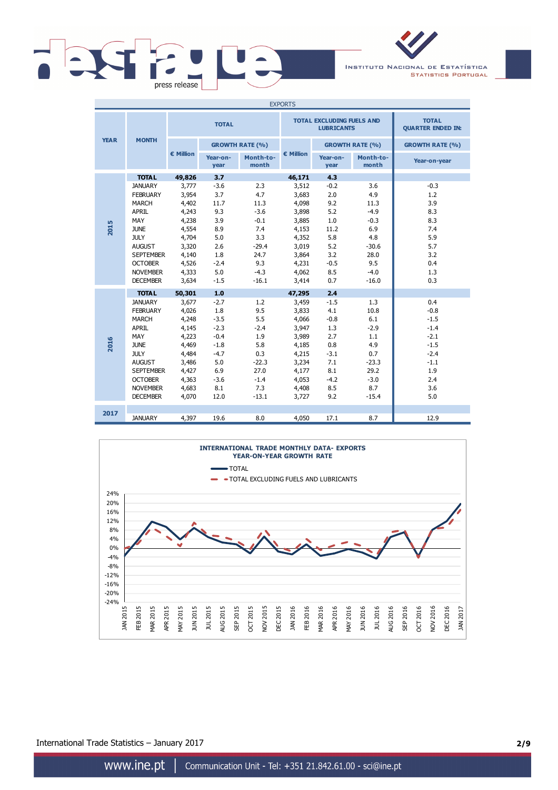

INSTITUTO NACIONAL DE ESTATÍSTICA **STATISTICS PORTUGAL** 

| <b>EXPORTS</b> |                  |              |                        |                    |           |                                                       |                                          |                        |
|----------------|------------------|--------------|------------------------|--------------------|-----------|-------------------------------------------------------|------------------------------------------|------------------------|
|                |                  | <b>TOTAL</b> |                        |                    |           | <b>TOTAL EXCLUDING FUELS AND</b><br><b>LUBRICANTS</b> | <b>TOTAL</b><br><b>QUARTER ENDED IN:</b> |                        |
| <b>YEAR</b>    | <b>MONTH</b>     |              | <b>GROWTH RATE (%)</b> |                    |           |                                                       | <b>GROWTH RATE (%)</b>                   | <b>GROWTH RATE (%)</b> |
|                |                  | € Million    | Year-on-<br>year       | Month-to-<br>month | € Million | Year-on-<br>year                                      | Month-to-<br>month                       | Year-on-year           |
|                | <b>TOTAL</b>     | 49,826       | 3.7                    |                    | 46,171    | 4.3                                                   |                                          |                        |
|                | <b>JANUARY</b>   | 3,777        | $-3.6$                 | 2.3                | 3,512     | $-0.2$                                                | 3.6                                      | $-0.3$                 |
|                | <b>FEBRUARY</b>  | 3,954        | 3.7                    | 4.7                | 3,683     | 2.0                                                   | 4.9                                      | 1.2                    |
|                | <b>MARCH</b>     | 4,402        | 11.7                   | 11.3               | 4,098     | 9.2                                                   | 11.3                                     | 3.9                    |
|                | APRIL            | 4,243        | 9.3                    | $-3.6$             | 3,898     | 5.2                                                   | $-4.9$                                   | 8.3                    |
|                | <b>MAY</b>       | 4,238        | 3.9                    | $-0.1$             | 3,885     | 1.0                                                   | $-0.3$                                   | 8.3                    |
| 2015           | <b>JUNE</b>      | 4,554        | 8.9                    | 7.4                | 4,153     | 11.2                                                  | 6.9                                      | 7.4                    |
|                | <b>JULY</b>      | 4,704        | 5.0                    | 3.3                | 4,352     | 5.8                                                   | 4.8                                      | 5.9                    |
|                | <b>AUGUST</b>    | 3,320        | 2.6                    | $-29.4$            | 3,019     | 5.2                                                   | $-30.6$                                  | 5.7                    |
|                | <b>SEPTEMBER</b> | 4,140        | 1.8                    | 24.7               | 3,864     | 3.2                                                   | 28.0                                     | 3.2                    |
|                | <b>OCTOBER</b>   | 4,526        | $-2.4$                 | 9.3                | 4,231     | $-0.5$                                                | 9.5                                      | 0.4                    |
|                | <b>NOVEMBER</b>  | 4,333        | 5.0                    | $-4.3$             | 4,062     | 8.5                                                   | $-4.0$                                   | 1.3                    |
|                | <b>DECEMBER</b>  | 3,634        | $-1.5$                 | $-16.1$            | 3,414     | 0.7                                                   | $-16.0$                                  | 0.3                    |
|                | <b>TOTAL</b>     | 50,301       | 1.0                    |                    | 47,295    | 2.4                                                   |                                          |                        |
|                | <b>JANUARY</b>   | 3,677        | $-2.7$                 | 1.2                | 3,459     | $-1.5$                                                | 1.3                                      | 0.4                    |
|                | <b>FEBRUARY</b>  | 4,026        | 1.8                    | 9.5                | 3,833     | 4.1                                                   | 10.8                                     | $-0.8$                 |
|                | <b>MARCH</b>     | 4,248        | $-3.5$                 | 5.5                | 4,066     | $-0.8$                                                | 6.1                                      | $-1.5$                 |
|                | <b>APRIL</b>     | 4,145        | $-2.3$                 | $-2.4$             | 3,947     | 1.3                                                   | $-2.9$                                   | $-1.4$                 |
|                | <b>MAY</b>       | 4,223        | $-0.4$                 | 1.9                | 3,989     | 2.7                                                   | 1.1                                      | $-2.1$                 |
| 2016           | <b>JUNE</b>      | 4,469        | $-1.8$                 | 5.8                | 4,185     | 0.8                                                   | 4.9                                      | $-1.5$                 |
|                | <b>JULY</b>      | 4,484        | $-4.7$                 | 0.3                | 4,215     | $-3.1$                                                | 0.7                                      | $-2.4$                 |
|                | <b>AUGUST</b>    | 3,486        | 5.0                    | $-22.3$            | 3,234     | 7.1                                                   | $-23.3$                                  | $-1.1$                 |
|                | <b>SEPTEMBER</b> | 4,427        | 6.9                    | 27.0               | 4,177     | 8.1                                                   | 29.2                                     | 1.9                    |
|                | <b>OCTOBER</b>   | 4,363        | $-3.6$                 | $-1.4$             | 4,053     | $-4.2$                                                | $-3.0$                                   | 2.4                    |
|                | <b>NOVEMBER</b>  | 4,683        | 8.1                    | 7.3                | 4,408     | 8.5                                                   | 8.7                                      | 3.6                    |
|                | <b>DECEMBER</b>  | 4,070        | 12.0                   | $-13.1$            | 3,727     | 9.2                                                   | $-15.4$                                  | 5.0                    |
|                |                  |              |                        |                    |           |                                                       |                                          |                        |
| 2017           | <b>JANUARY</b>   | 4,397        | 19.6                   | 8.0                | 4,050     | 17.1                                                  | 8.7                                      | 12.9                   |



International Trade Statistics – January 2017 **2/9**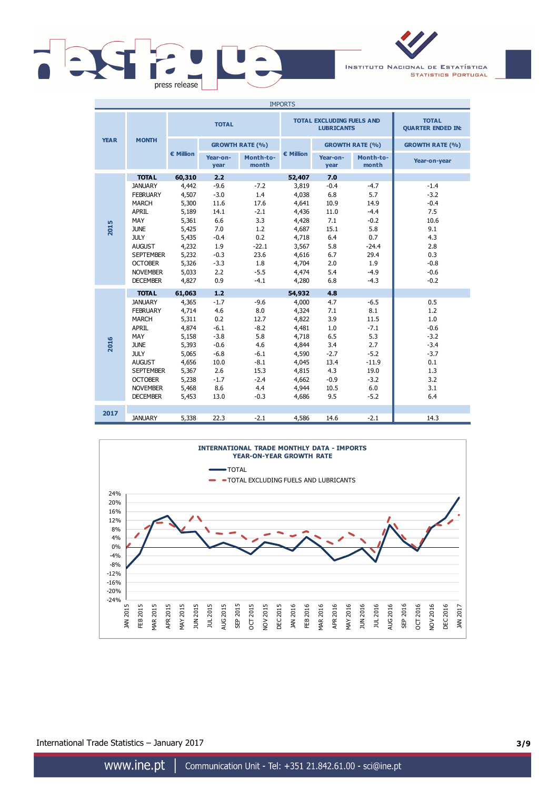

INSTITUTO NACIONAL DE ESTATÍSTICA **STATISTICS PORTUGAL** 

| <b>IMPORTS</b> |                  |              |                        |                    |           |                                                       |                                          |                        |
|----------------|------------------|--------------|------------------------|--------------------|-----------|-------------------------------------------------------|------------------------------------------|------------------------|
|                |                  | <b>TOTAL</b> |                        |                    |           | <b>TOTAL EXCLUDING FUELS AND</b><br><b>LUBRICANTS</b> | <b>TOTAL</b><br><b>QUARTER ENDED IN:</b> |                        |
| <b>YEAR</b>    | <b>MONTH</b>     |              | <b>GROWTH RATE (%)</b> |                    |           |                                                       | <b>GROWTH RATE (%)</b>                   | <b>GROWTH RATE (%)</b> |
|                |                  | € Million    | Year-on-<br>year       | Month-to-<br>month | € Million | Year-on-<br>year                                      | Month-to-<br>month                       | Year-on-year           |
|                | <b>TOTAL</b>     | 60,310       | 2.2                    |                    | 52,407    | 7.0                                                   |                                          |                        |
|                | <b>JANUARY</b>   | 4,442        | $-9.6$                 | $-7.2$             | 3,819     | $-0.4$                                                | $-4.7$                                   | $-1.4$                 |
|                | <b>FEBRUARY</b>  | 4,507        | $-3.0$                 | 1.4                | 4,038     | 6.8                                                   | 5.7                                      | $-3.2$                 |
|                | <b>MARCH</b>     | 5,300        | 11.6                   | 17.6               | 4,641     | 10.9                                                  | 14.9                                     | $-0.4$                 |
|                | <b>APRIL</b>     | 5,189        | 14.1                   | $-2.1$             | 4,436     | 11.0                                                  | $-4.4$                                   | 7.5                    |
|                | MAY              | 5,361        | 6.6                    | 3.3                | 4,428     | 7.1                                                   | $-0.2$                                   | 10.6                   |
| 2015           | <b>JUNE</b>      | 5,425        | 7.0                    | 1.2                | 4,687     | 15.1                                                  | 5.8                                      | 9.1                    |
|                | <b>JULY</b>      | 5,435        | $-0.4$                 | 0.2                | 4,718     | 6.4                                                   | 0.7                                      | 4.3                    |
|                | <b>AUGUST</b>    | 4,232        | 1.9                    | $-22.1$            | 3,567     | 5.8                                                   | $-24.4$                                  | 2.8                    |
|                | <b>SEPTEMBER</b> | 5,232        | $-0.3$                 | 23.6               | 4,616     | 6.7                                                   | 29.4                                     | 0.3                    |
|                | <b>OCTOBER</b>   | 5,326        | $-3.3$                 | 1.8                | 4,704     | 2.0                                                   | 1.9                                      | $-0.8$                 |
|                | <b>NOVEMBER</b>  | 5,033        | 2.2                    | $-5.5$             | 4,474     | 5.4                                                   | $-4.9$                                   | $-0.6$                 |
|                | <b>DECEMBER</b>  | 4,827        | 0.9                    | $-4.1$             | 4,280     | 6.8                                                   | $-4.3$                                   | $-0.2$                 |
|                | <b>TOTAL</b>     | 61,063       | 1.2                    |                    | 54,932    | 4.8                                                   |                                          |                        |
|                | <b>JANUARY</b>   | 4,365        | $-1.7$                 | $-9.6$             | 4,000     | 4.7                                                   | $-6.5$                                   | 0.5                    |
|                | <b>FEBRUARY</b>  | 4,714        | 4.6                    | 8.0                | 4,324     | 7.1                                                   | 8.1                                      | 1.2                    |
|                | <b>MARCH</b>     | 5,311        | 0.2                    | 12.7               | 4,822     | 3.9                                                   | 11.5                                     | 1.0                    |
|                | APRIL            | 4,874        | $-6.1$                 | $-8.2$             | 4,481     | 1.0                                                   | $-7.1$                                   | $-0.6$                 |
|                | MAY              | 5,158        | $-3.8$                 | 5.8                | 4,718     | 6.5                                                   | 5.3                                      | $-3.2$                 |
| 2016           | <b>JUNE</b>      | 5,393        | $-0.6$                 | 4.6                | 4,844     | 3.4                                                   | 2.7                                      | $-3.4$                 |
|                | <b>JULY</b>      | 5,065        | $-6.8$                 | $-6.1$             | 4,590     | $-2.7$                                                | $-5.2$                                   | $-3.7$                 |
|                | <b>AUGUST</b>    | 4,656        | 10.0                   | $-8.1$             | 4,045     | 13.4                                                  | $-11.9$                                  | 0.1                    |
|                | <b>SEPTEMBER</b> | 5,367        | 2.6                    | 15.3               | 4,815     | 4.3                                                   | 19.0                                     | 1.3                    |
|                | <b>OCTOBER</b>   | 5,238        | $-1.7$                 | $-2.4$             | 4,662     | $-0.9$                                                | $-3.2$                                   | 3.2                    |
|                | <b>NOVEMBER</b>  | 5,468        | 8.6                    | 4.4                | 4,944     | 10.5                                                  | 6.0                                      | 3.1                    |
|                | <b>DECEMBER</b>  | 5,453        | 13.0                   | $-0.3$             | 4,686     | 9.5                                                   | $-5.2$                                   | 6.4                    |
| 2017           |                  |              |                        |                    |           |                                                       |                                          |                        |
|                | <b>JANUARY</b>   | 5,338        | 22.3                   | $-2.1$             | 4,586     | 14.6                                                  | $-2.1$                                   | 14.3                   |



International Trade Statistics – January 2017 **3/9**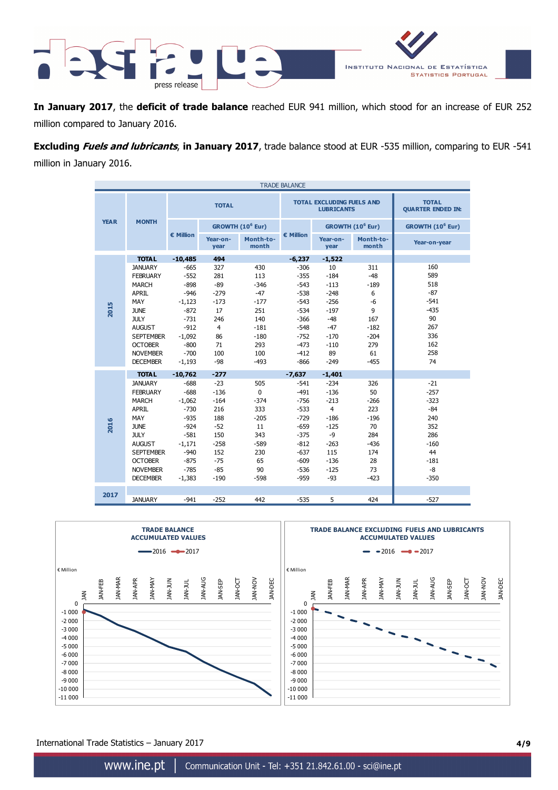

**In January 2017**, the **deficit of trade balance** reached EUR 941 million, which stood for an increase of EUR 252 million compared to January 2016.

**Excluding Fuels and lubricants**, **in January 2017**, trade balance stood at EUR -535 million, comparing to EUR -541 million in January 2016.

| <b>TRADE BALANCE</b> |                  |                    |                                                       |                                          |           |                  |                              |                              |  |
|----------------------|------------------|--------------------|-------------------------------------------------------|------------------------------------------|-----------|------------------|------------------------------|------------------------------|--|
| <b>TOTAL</b>         |                  |                    | <b>TOTAL EXCLUDING FUELS AND</b><br><b>LUBRICANTS</b> | <b>TOTAL</b><br><b>QUARTER ENDED IN:</b> |           |                  |                              |                              |  |
| <b>YEAR</b>          | <b>MONTH</b>     |                    |                                                       | GROWTH (10 <sup>6</sup> Eur)             |           |                  | GROWTH (10 <sup>6</sup> Eur) | GROWTH (10 <sup>6</sup> Eur) |  |
|                      |                  | $\epsilon$ Million | Year-on-<br>year                                      | Month-to-<br>month                       | € Million | Year-on-<br>year | Month-to-<br>month           | Year-on-year                 |  |
|                      | <b>TOTAL</b>     | $-10,485$          | 494                                                   |                                          | $-6,237$  | $-1,522$         |                              |                              |  |
|                      | <b>JANUARY</b>   | $-665$             | 327                                                   | 430                                      | $-306$    | 10               | 311                          | 160                          |  |
|                      | <b>FEBRUARY</b>  | $-552$             | 281                                                   | 113                                      | $-355$    | $-184$           | $-48$                        | 589                          |  |
|                      | <b>MARCH</b>     | $-898$             | $-89$                                                 | $-346$                                   | $-543$    | $-113$           | $-189$                       | 518                          |  |
|                      | <b>APRIL</b>     | $-946$             | $-279$                                                | $-47$                                    | $-538$    | $-248$           | 6                            | $-87$                        |  |
|                      | MAY              | $-1,123$           | $-173$                                                | $-177$                                   | $-543$    | $-256$           | $-6$                         | $-541$                       |  |
| 2015                 | <b>JUNE</b>      | $-872$             | 17                                                    | 251                                      | -534      | $-197$           | 9                            | $-435$                       |  |
|                      | <b>JULY</b>      | $-731$             | 246                                                   | 140                                      | $-366$    | $-48$            | 167                          | 90                           |  |
|                      | <b>AUGUST</b>    | $-912$             | $\overline{4}$                                        | $-181$                                   | $-548$    | $-47$            | $-182$                       | 267                          |  |
|                      | <b>SEPTEMBER</b> | $-1,092$           | 86                                                    | $-180$                                   | $-752$    | $-170$           | $-204$                       | 336                          |  |
|                      | <b>OCTOBER</b>   | $-800$             | 71                                                    | 293                                      | $-473$    | $-110$           | 279                          | 162                          |  |
|                      | <b>NOVEMBER</b>  | $-700$             | 100                                                   | 100                                      | $-412$    | 89               | 61                           | 258                          |  |
|                      | <b>DECEMBER</b>  | $-1,193$           | $-98$                                                 | $-493$                                   | $-866$    | $-249$           | $-455$                       | 74                           |  |
|                      | <b>TOTAL</b>     | $-10,762$          | $-277$                                                |                                          | $-7,637$  | $-1,401$         |                              |                              |  |
|                      | <b>JANUARY</b>   | $-688$             | $-23$                                                 | 505                                      | $-541$    | $-234$           | 326                          | $-21$                        |  |
|                      | <b>FEBRUARY</b>  | $-688$             | $-136$                                                | $\mathbf 0$                              | $-491$    | $-136$           | 50                           | $-257$                       |  |
|                      | <b>MARCH</b>     | $-1,062$           | $-164$                                                | $-374$                                   | $-756$    | $-213$           | $-266$                       | $-323$                       |  |
|                      | <b>APRIL</b>     | $-730$             | 216                                                   | 333                                      | $-533$    | $\overline{4}$   | 223                          | $-84$                        |  |
|                      | MAY              | $-935$             | 188                                                   | $-205$                                   | $-729$    | $-186$           | $-196$                       | 240                          |  |
| 2016                 | <b>JUNE</b>      | $-924$             | $-52$                                                 | 11                                       | $-659$    | $-125$           | 70                           | 352                          |  |
|                      | <b>JULY</b>      | $-581$             | 150                                                   | 343                                      | $-375$    | $-9$             | 284                          | 286                          |  |
|                      | <b>AUGUST</b>    | $-1,171$           | $-258$                                                | $-589$                                   | $-812$    | $-263$           | $-436$                       | $-160$                       |  |
|                      | <b>SEPTEMBER</b> | $-940$             | 152                                                   | 230                                      | $-637$    | 115              | 174                          | 44                           |  |
|                      | <b>OCTOBER</b>   | $-875$             | $-75$                                                 | 65                                       | $-609$    | $-136$           | 28                           | $-181$                       |  |
|                      | <b>NOVEMBER</b>  | $-785$             | $-85$                                                 | 90                                       | $-536$    | $-125$           | 73                           | -8                           |  |
|                      | <b>DECEMBER</b>  | $-1,383$           | $-190$                                                | $-598$                                   | $-959$    | $-93$            | $-423$                       | $-350$                       |  |
|                      |                  |                    |                                                       |                                          |           |                  |                              |                              |  |
| 2017                 | <b>JANUARY</b>   | $-941$             | $-252$                                                | 442                                      | $-535$    | 5                | 424                          | $-527$                       |  |
|                      |                  |                    |                                                       |                                          |           |                  |                              |                              |  |



International Trade Statistics – January 2017 **4/9**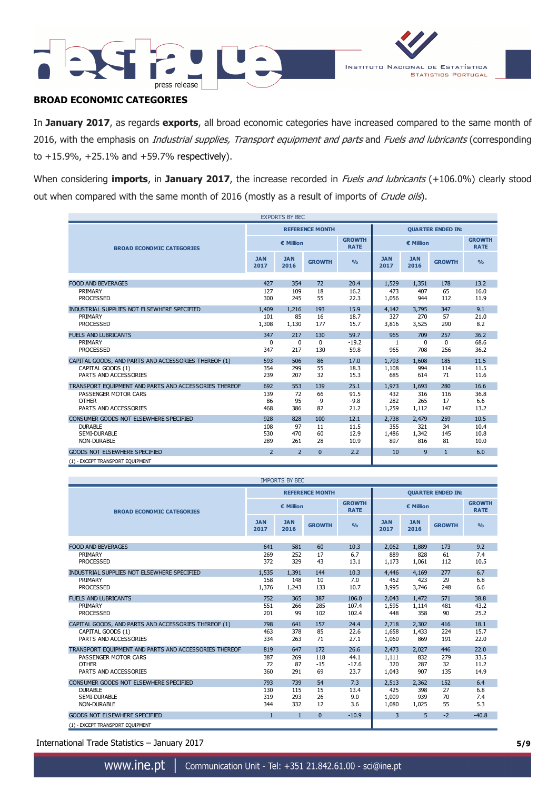



# **BROAD ECONOMIC CATEGORIES**

In **January 2017**, as regards **exports**, all broad economic categories have increased compared to the same month of 2016, with the emphasis on *Industrial supplies, Transport equipment and parts* and *Fuels and lubricants* (corresponding to +15.9%, +25.1% and +59.7% respectively).

When considering *imports*, in January 2017, the increase recorded in *Fuels and lubricants* (+106.0%) clearly stood out when compared with the same month of 2016 (mostly as a result of imports of Crude oils).

| <b>EXPORTS BY BEC</b>                                 |                    |                    |                        |                              |                          |                    |               |                              |
|-------------------------------------------------------|--------------------|--------------------|------------------------|------------------------------|--------------------------|--------------------|---------------|------------------------------|
|                                                       |                    |                    | <b>REFERENCE MONTH</b> |                              | <b>QUARTER ENDED IN:</b> |                    |               |                              |
| <b>BROAD ECONOMIC CATEGORIES</b>                      | € Million          |                    |                        | <b>GROWTH</b><br><b>RATE</b> | € Million                |                    |               | <b>GROWTH</b><br><b>RATE</b> |
|                                                       | <b>JAN</b><br>2017 | <b>JAN</b><br>2016 | <b>GROWTH</b>          | O <sub>0</sub>               | <b>JAN</b><br>2017       | <b>JAN</b><br>2016 | <b>GROWTH</b> | O <sub>0</sub>               |
|                                                       |                    |                    |                        |                              |                          |                    |               |                              |
| <b>FOOD AND BEVERAGES</b>                             | 427                | 354                | 72                     | 20.4                         | 1,529                    | 1,351              | 178           | 13.2                         |
| PRIMARY                                               | 127                | 109                | 18                     | 16.2                         | 473                      | 407                | 65            | 16.0                         |
| <b>PROCESSED</b>                                      | 300                | 245                | 55                     | 22.3                         | 1,056                    | 944                | 112           | 11.9                         |
| INDUSTRIAL SUPPLIES NOT ELSEWHERE SPECIFIED           | 1,409              | 1.216              | 193                    | 15.9                         | 4.142                    | 3,795              | 347           | 9.1                          |
| PRIMARY                                               | 101                | 85                 | 16                     | 18.7                         | 327                      | 270                | 57            | 21.0                         |
| <b>PROCESSED</b>                                      | 1,308              | 1,130              | 177                    | 15.7                         | 3,816                    | 3,525              | 290           | 8.2                          |
| <b>FUELS AND LUBRICANTS</b>                           | 347                | 217                | 130                    | 59.7                         | 965                      | 709                | 257           | 36.2                         |
| PRIMARY                                               | $\Omega$           | $\Omega$           | $\Omega$               | $-19.2$                      | $\mathbf{1}$             | $\Omega$           | $\Omega$      | 68.6                         |
| <b>PROCESSED</b>                                      | 347                | 217                | 130                    | 59.8                         | 965                      | 708                | 256           | 36.2                         |
| CAPITAL GOODS, AND PARTS AND ACCESSORIES THEREOF (1)  | 593                | 506                | 86                     | 17.0                         | 1,793                    | 1,608              | 185           | 11.5                         |
| CAPITAL GOODS (1)                                     | 354                | 299                | 55                     | 18.3                         | 1,108                    | 994                | 114           | 11.5                         |
| PARTS AND ACCESSORIES                                 | 239                | 207                | 32                     | 15.3                         | 685                      | 614                | 71            | 11.6                         |
|                                                       |                    |                    |                        |                              |                          |                    |               |                              |
| TRANSPORT EQUIPMENT AND PARTS AND ACCESSORIES THEREOF | 692                | 553                | 139                    | 25.1                         | 1,973                    | 1,693              | 280           | 16.6                         |
| PASSENGER MOTOR CARS                                  | 139                | 72                 | 66                     | 91.5                         | 432                      | 316                | 116           | 36.8                         |
| <b>OTHER</b>                                          | 86                 | 95                 | $-9$                   | $-9.8$                       | 282                      | 265                | 17            | 6.6                          |
| PARTS AND ACCESSORIES                                 | 468                | 386                | 82                     | 21.2                         | 1,259                    | 1,112              | 147           | 13.2                         |
| CONSUMER GOODS NOT ELSEWHERE SPECIFIED                | 928                | 828                | 100                    | 12.1                         | 2,738                    | 2,479              | 259           | 10.5                         |
| <b>DURABLE</b>                                        | 108                | 97                 | 11                     | 11.5                         | 355                      | 321                | 34            | 10.4                         |
| SEMI-DURABLE                                          | 530                | 470                | 60                     | 12.9                         | 1,486                    | 1,342              | 145           | 10.8                         |
| <b>NON-DURABLE</b>                                    | 289                | 261                | 28                     | 10.9                         | 897                      | 816                | 81            | 10.0                         |
| <b>GOODS NOT ELSEWHERE SPECIFIED</b>                  | $\overline{2}$     | $\overline{2}$     | $\Omega$               | 2.2                          | 10                       | 9                  | $\mathbf{1}$  | 6.0                          |
| (1) - EXCEPT TRANSPORT EQUIPMENT                      |                    |                    |                        |                              |                          |                    |               |                              |

| <b>IMPORTS BY BEC</b>                                 |                    |                    |                        |                              |                          |                    |               |                              |
|-------------------------------------------------------|--------------------|--------------------|------------------------|------------------------------|--------------------------|--------------------|---------------|------------------------------|
|                                                       |                    |                    | <b>REFERENCE MONTH</b> |                              | <b>QUARTER ENDED IN:</b> |                    |               |                              |
| <b>BROAD ECONOMIC CATEGORIES</b>                      | € Million          |                    |                        | <b>GROWTH</b><br><b>RATE</b> | € Million                |                    |               | <b>GROWTH</b><br><b>RATE</b> |
|                                                       | <b>JAN</b><br>2017 | <b>JAN</b><br>2016 | <b>GROWTH</b>          | O <sub>0</sub>               | <b>JAN</b><br>2017       | <b>JAN</b><br>2016 | <b>GROWTH</b> | O/2                          |
|                                                       |                    |                    |                        |                              |                          |                    |               |                              |
| <b>FOOD AND BEVERAGES</b>                             | 641                | 581                | 60                     | 10.3                         | 2.062                    | 1,889              | 173           | 9.2                          |
| PRIMARY<br><b>PROCESSED</b>                           | 269<br>372         | 252<br>329         | 17<br>43               | 6.7<br>13.1                  | 889<br>1,173             | 828<br>1,061       | 61<br>112     | 7.4<br>10.5                  |
| INDUSTRIAL SUPPLIES NOT ELSEWHERE SPECIFIED           | 1,535              | 1,391              | 144                    | 10.3                         | 4,446                    | 4,169              | 277           | 6.7                          |
| PRIMARY<br><b>PROCESSED</b>                           | 158<br>1,376       | 148<br>1,243       | 10<br>133              | 7.0<br>10.7                  | 452<br>3,995             | 423<br>3,746       | 29<br>248     | 6.8<br>6.6                   |
| <b>FUELS AND LUBRICANTS</b>                           | 752                | 365                | 387                    | 106.0                        | 2,043                    | 1.472              | 571           | 38.8                         |
| PRIMARY                                               | 551                | 266                | 285                    | 107.4                        | 1,595                    | 1,114              | 481           | 43.2                         |
| <b>PROCESSED</b>                                      | 201                | 99                 | 102                    | 102.4                        | 448                      | 358                | 90            | 25.2                         |
| CAPITAL GOODS, AND PARTS AND ACCESSORIES THEREOF (1)  | 798                | 641                | 157                    | 24.4                         | 2,718                    | 2,302              | 416           | 18.1                         |
| CAPITAL GOODS (1)                                     | 463                | 378                | 85                     | 22.6                         | 1,658                    | 1,433              | 224           | 15.7                         |
| PARTS AND ACCESSORIES                                 | 334                | 263                | 71                     | 27.1                         | 1,060                    | 869                | 191           | 22.0                         |
| TRANSPORT EQUIPMENT AND PARTS AND ACCESSORIES THEREOF | 819                | 647                | 172                    | 26.6                         | 2,473                    | 2,027              | 446           | 22.0                         |
| PASSENGER MOTOR CARS                                  | 387                | 269                | 118                    | 44.1                         | 1,111                    | 832                | 279           | 33.5                         |
| <b>OTHER</b>                                          | 72                 | 87                 | $-15$                  | $-17.6$                      | 320                      | 287                | 32            | 11.2                         |
| PARTS AND ACCESSORIES                                 | 360                | 291                | 69                     | 23.7                         | 1,043                    | 907                | 135           | 14.9                         |
| CONSUMER GOODS NOT ELSEWHERE SPECIFIED                | 793                | 739                | 54                     | 7.3                          | 2,513                    | 2,362              | 152           | 6.4                          |
| <b>DURABLE</b>                                        | 130                | 115                | 15                     | 13.4                         | 425                      | 398                | 27            | 6.8                          |
| SEMI-DURABLE<br>NON-DURABLE                           | 319                | 293                | 26                     | 9.0                          | 1,009                    | 939                | 70            | 7.4                          |
|                                                       | 344                | 332                | 12                     | 3.6                          | 1,080                    | 1,025              | 55            | 5.3                          |
| <b>GOODS NOT ELSEWHERE SPECIFIED</b>                  | $\mathbf{1}$       | $\mathbf{1}$       | $\Omega$               | $-10.9$                      | 3                        | 5                  | $-2$          | $-40.8$                      |
| (1) - EXCEPT TRANSPORT EQUIPMENT                      |                    |                    |                        |                              |                          |                    |               |                              |

International Trade Statistics – January 2017 **5/9**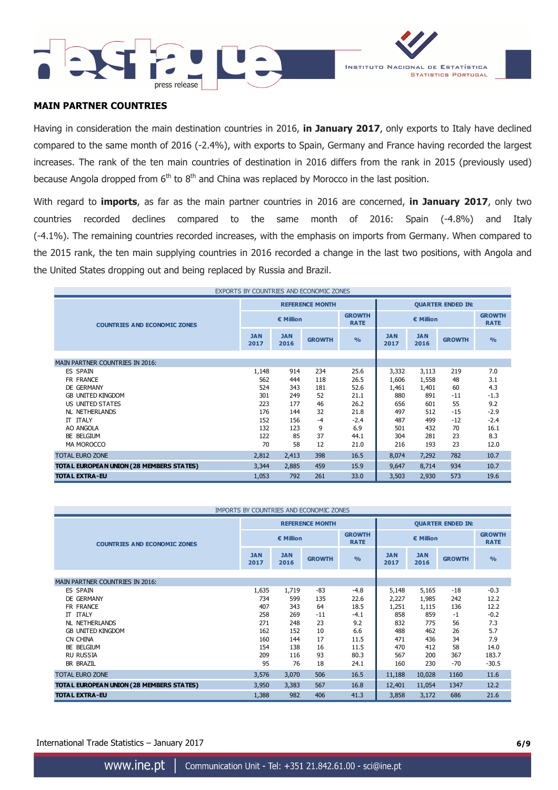



## **MAIN PARTNER COUNTRIES**

Having in consideration the main destination countries in 2016, **in January 2017**, only exports to Italy have declined compared to the same month of 2016 (-2.4%), with exports to Spain, Germany and France having recorded the largest increases. The rank of the ten main countries of destination in 2016 differs from the rank in 2015 (previously used) because Angola dropped from  $6<sup>th</sup>$  to  $8<sup>th</sup>$  and China was replaced by Morocco in the last position.

With regard to **imports**, as far as the main partner countries in 2016 are concerned, **in January 2017**, only two countries recorded declines compared to the same month of 2016: Spain (-4.8%) and Italy (-4.1%). The remaining countries recorded increases, with the emphasis on imports from Germany. When compared to the 2015 rank, the ten main supplying countries in 2016 recorded a change in the last two positions, with Angola and the United States dropping out and being replaced by Russia and Brazil.

| EXPORTS BY COUNTRIES AND ECONOMIC ZONES  |                        |                    |               |                              |                    |                          |               |                              |  |
|------------------------------------------|------------------------|--------------------|---------------|------------------------------|--------------------|--------------------------|---------------|------------------------------|--|
|                                          | <b>REFERENCE MONTH</b> |                    |               |                              |                    | <b>QUARTER ENDED IN:</b> |               |                              |  |
| <b>COUNTRIES AND ECONOMIC ZONES</b>      |                        | € Million          |               | <b>GROWTH</b><br><b>RATE</b> |                    | € Million                |               | <b>GROWTH</b><br><b>RATE</b> |  |
|                                          | <b>JAN</b><br>2017     | <b>JAN</b><br>2016 | <b>GROWTH</b> | O <sub>0</sub>               | <b>JAN</b><br>2017 | <b>JAN</b><br>2016       | <b>GROWTH</b> | $\frac{0}{0}$                |  |
| MAIN PARTNER COUNTRIES IN 2016:          |                        |                    |               |                              |                    |                          |               |                              |  |
| <b>ES SPAIN</b>                          | 1,148                  | 914                | 234           | 25.6                         | 3,332              | 3,113                    | 219           | 7.0                          |  |
| FR FRANCE                                | 562                    | 444                | 118           | 26.5                         | 1,606              | 1,558                    | 48            | 3.1                          |  |
| DE GERMANY                               | 524                    | 343                | 181           | 52.6                         | 1,461              | 1,401                    | 60            | 4.3                          |  |
| <b>GB UNITED KINGDOM</b>                 | 301                    | 249                | 52            | 21.1                         | 880                | 891                      | $-11$         | $-1.3$                       |  |
| US UNITED STATES                         | 223                    | 177                | 46            | 26.2                         | 656                | 601                      | 55            | 9.2                          |  |
| NL NETHERLANDS                           | 176                    | 144                | 32            | 21.8                         | 497                | 512                      | $-15$         | $-2.9$                       |  |
| IT ITALY                                 | 152                    | 156                | $-4$          | $-2.4$                       | 487                | 499                      | $-12$         | $-2.4$                       |  |
| AO ANGOLA                                | 132                    | 123                | 9             | 6.9                          | 501                | 432                      | 70            | 16.1                         |  |
| BE BELGIUM                               | 122                    | 85                 | 37            | 44.1                         | 304                | 281                      | 23            | 8.3                          |  |
| MA MOROCCO                               | 70                     | 58                 | 12            | 21.0                         | 216                | 193                      | 23            | 12.0                         |  |
| <b>TOTAL EURO ZONE</b>                   | 2,812                  | 2,413              | 398           | 16.5                         | 8,074              | 7,292                    | 782           | 10.7                         |  |
| TOTAL EUROPEAN UNION (28 MEMBERS STATES) | 3,344                  | 2,885              | 459           | 15.9                         | 9,647              | 8,714                    | 934           | 10.7                         |  |
| <b>TOTAL EXTRA-EU</b>                    | 1,053                  | 792                | 261           | 33.0                         | 3,503              | 2,930                    | 573           | 19.6                         |  |

| IMPORTS BY COUNTRIES AND ECONOMIC ZONES  |                    |                    |                        |                              |                          |                    |               |                              |
|------------------------------------------|--------------------|--------------------|------------------------|------------------------------|--------------------------|--------------------|---------------|------------------------------|
|                                          |                    |                    | <b>REFERENCE MONTH</b> |                              | <b>QUARTER ENDED IN:</b> |                    |               |                              |
| <b>COUNTRIES AND ECONOMIC ZONES</b>      | € Million          |                    |                        | <b>GROWTH</b><br><b>RATE</b> | € Million                |                    |               | <b>GROWTH</b><br><b>RATE</b> |
|                                          | <b>JAN</b><br>2017 | <b>JAN</b><br>2016 | <b>GROWTH</b>          | $\frac{0}{0}$                | <b>JAN</b><br>2017       | <b>JAN</b><br>2016 | <b>GROWTH</b> | $\frac{9}{6}$                |
|                                          |                    |                    |                        |                              |                          |                    |               |                              |
| <b>MAIN PARTNER COUNTRIES IN 2016:</b>   |                    |                    |                        |                              |                          |                    |               |                              |
| <b>ES SPAIN</b>                          | 1,635              | 1,719              | -83                    | $-4.8$                       | 5,148                    | 5,165              | $-18$         | $-0.3$                       |
| DE GERMANY                               | 734                | 599                | 135                    | 22.6                         | 2,227                    | 1,985              | 242           | 12.2                         |
| FR FRANCE                                | 407                | 343                | 64                     | 18.5                         | 1,251                    | 1,115              | 136           | 12.2                         |
| IT ITALY                                 | 258                | 269                | $-11$                  | $-4.1$                       | 858                      | 859                | $-1$          | $-0.2$                       |
| <b>NL NETHERLANDS</b>                    | 271                | 248                | 23                     | 9.2                          | 832                      | 775                | 56            | 7.3                          |
| <b>GB UNITED KINGDOM</b>                 | 162                | 152                | 10                     | 6.6                          | 488                      | 462                | 26            | 5.7                          |
| CN CHINA                                 | 160                | 144                | 17                     | 11.5                         | 471                      | 436                | 34            | 7.9                          |
| BE BELGIUM                               | 154                | 138                | 16                     | 11.5                         | 470                      | 412                | 58            | 14.0                         |
| <b>RU RUSSIA</b>                         | 209                | 116                | 93                     | 80.3                         | 567                      | 200                | 367           | 183.7                        |
| <b>BR BRAZIL</b>                         | 95                 | 76                 | 18                     | 24.1                         | 160                      | 230                | $-70$         | $-30.5$                      |
| <b>TOTAL EURO ZONE</b>                   | 3,576              | 3,070              | 506                    | 16.5                         | 11,188                   | 10,028             | 1160          | 11.6                         |
| TOTAL EUROPEAN UNION (28 MEMBERS STATES) | 3,950              | 3,383              | 567                    | 16.8                         | 12,401                   | 11,054             | 1347          | 12.2                         |
| <b>TOTAL EXTRA-EU</b>                    | 1,388              | 982                | 406                    | 41.3                         | 3,858                    | 3,172              | 686           | 21.6                         |

International Trade Statistics – January 2017 **6/9**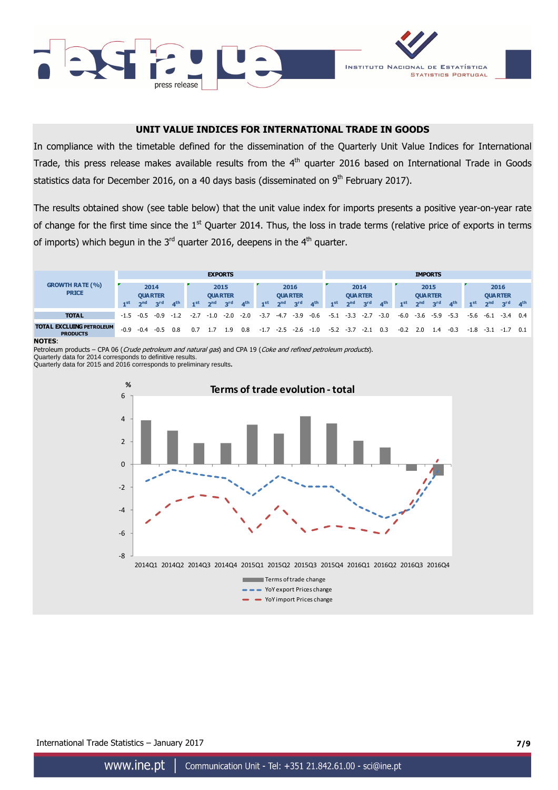



## **UNIT VALUE INDICES FOR INTERNATIONAL TRADE IN GOODS**

In compliance with the timetable defined for the dissemination of the Quarterly Unit Value Indices for International Trade, this press release makes available results from the 4<sup>th</sup> quarter 2016 based on International Trade in Goods statistics data for December 2016, on a 40 days basis (disseminated on  $9<sup>th</sup>$  February 2017).

The results obtained show (see table below) that the unit value index for imports presents a positive year-on-year rate of change for the first time since the 1<sup>st</sup> Quarter 2014. Thus, the loss in trade terms (relative price of exports in terms of imports) which begun in the  $3<sup>rd</sup>$  quarter 2016, deepens in the  $4<sup>th</sup>$  quarter.



#### **NOTES**:

Petroleum products – CPA 06 (Crude petroleum and natural gas) and CPA 19 (Coke and refined petroleum products).

Quarterly data for 2014 corresponds to definitive results. Quarterly data for 2015 and 2016 corresponds to preliminary results**.** 



### International Trade Statistics – January 2017 **7/9**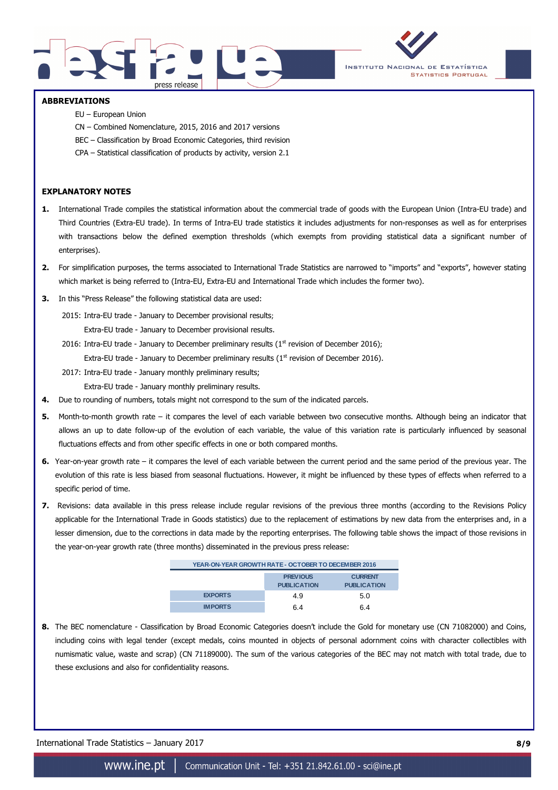



### **ABBREVIATIONS**

- EU European Union
- CN Combined Nomenclature, 2015, 2016 and 2017 versions
- BEC Classification by Broad Economic Categories, third revision
- CPA Statistical classification of products by activity, version 2.1

## **EXPLANATORY NOTES**

- **1.** International Trade compiles the statistical information about the commercial trade of goods with the European Union (Intra-EU trade) and Third Countries (Extra-EU trade). In terms of Intra-EU trade statistics it includes adjustments for non-responses as well as for enterprises with transactions below the defined exemption thresholds (which exempts from providing statistical data a significant number of enterprises).
- **2.** For simplification purposes, the terms associated to International Trade Statistics are narrowed to "imports" and "exports", however stating which market is being referred to (Intra-EU, Extra-EU and International Trade which includes the former two).
- **3.** In this "Press Release" the following statistical data are used:
	- 2015: Intra-EU trade January to December provisional results; Extra-EU trade - January to December provisional results.
	- 2016: Intra-EU trade January to December preliminary results ( $1<sup>st</sup>$  revision of December 2016); Extra-EU trade - January to December preliminary results ( $1<sup>st</sup>$  revision of December 2016).
	- 2017: Intra-EU trade January monthly preliminary results;
		- Extra-EU trade January monthly preliminary results.
- **4.** Due to rounding of numbers, totals might not correspond to the sum of the indicated parcels.
- **5.** Month-to-month growth rate it compares the level of each variable between two consecutive months. Although being an indicator that allows an up to date follow-up of the evolution of each variable, the value of this variation rate is particularly influenced by seasonal fluctuations effects and from other specific effects in one or both compared months.
- **6.** Year-on-year growth rate it compares the level of each variable between the current period and the same period of the previous year. The evolution of this rate is less biased from seasonal fluctuations. However, it might be influenced by these types of effects when referred to a specific period of time.
- **7.** Revisions: data available in this press release include regular revisions of the previous three months (according to the Revisions Policy applicable for the International Trade in Goods statistics) due to the replacement of estimations by new data from the enterprises and, in a lesser dimension, due to the corrections in data made by the reporting enterprises. The following table shows the impact of those revisions in the year-on-year growth rate (three months) disseminated in the previous press release:

| YEAR-ON-YEAR GROWTH RATE - OCTOBER TO DECEMBER 2016 |                                       |                                      |  |  |  |  |  |  |
|-----------------------------------------------------|---------------------------------------|--------------------------------------|--|--|--|--|--|--|
|                                                     | <b>PREVIOUS</b><br><b>PUBLICATION</b> | <b>CURRENT</b><br><b>PUBLICATION</b> |  |  |  |  |  |  |
| <b>EXPORTS</b>                                      | 49                                    | 5.0                                  |  |  |  |  |  |  |
| <b>IMPORTS</b>                                      | հ 4                                   | հ 4                                  |  |  |  |  |  |  |

**8.** The BEC nomenclature - Classification by Broad Economic Categories doesn't include the Gold for monetary use (CN 71082000) and Coins, including coins with legal tender (except medals, coins mounted in objects of personal adornment coins with character collectibles with numismatic value, waste and scrap) (CN 71189000). The sum of the various categories of the BEC may not match with total trade, due to these exclusions and also for confidentiality reasons.

International Trade Statistics – January 2017 **8/9**